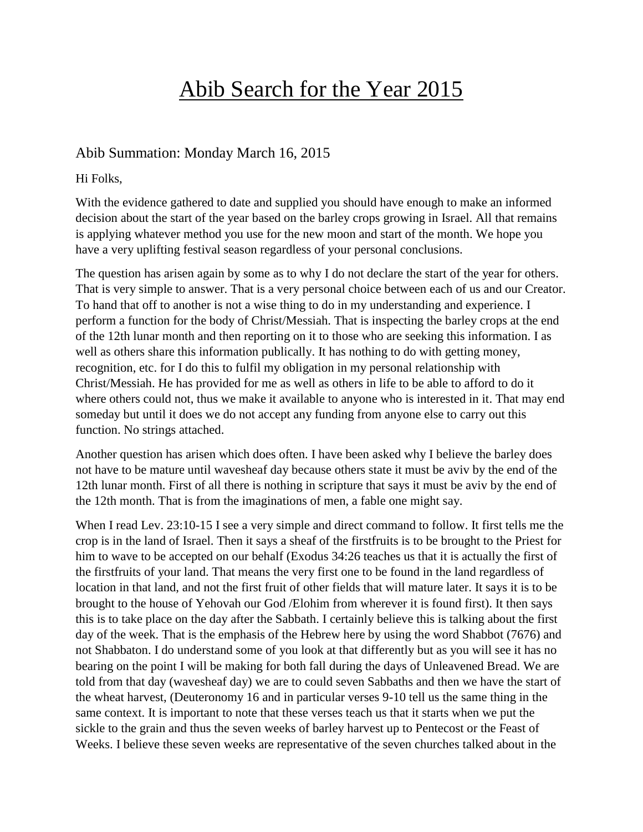# Abib Search for the Year 2015

### Abib Summation: Monday March 16, 2015

Hi Folks,

With the evidence gathered to date and supplied you should have enough to make an informed decision about the start of the year based on the barley crops growing in Israel. All that remains is applying whatever method you use for the new moon and start of the month. We hope you have a very uplifting festival season regardless of your personal conclusions.

The question has arisen again by some as to why I do not declare the start of the year for others. That is very simple to answer. That is a very personal choice between each of us and our Creator. To hand that off to another is not a wise thing to do in my understanding and experience. I perform a function for the body of Christ/Messiah. That is inspecting the barley crops at the end of the 12th lunar month and then reporting on it to those who are seeking this information. I as well as others share this information publically. It has nothing to do with getting money, recognition, etc. for I do this to fulfil my obligation in my personal relationship with Christ/Messiah. He has provided for me as well as others in life to be able to afford to do it where others could not, thus we make it available to anyone who is interested in it. That may end someday but until it does we do not accept any funding from anyone else to carry out this function. No strings attached.

Another question has arisen which does often. I have been asked why I believe the barley does not have to be mature until wavesheaf day because others state it must be aviv by the end of the 12th lunar month. First of all there is nothing in scripture that says it must be aviv by the end of the 12th month. That is from the imaginations of men, a fable one might say.

When I read Lev. 23:10-15 I see a very simple and direct command to follow. It first tells me the crop is in the land of Israel. Then it says a sheaf of the firstfruits is to be brought to the Priest for him to wave to be accepted on our behalf (Exodus 34:26 teaches us that it is actually the first of the firstfruits of your land. That means the very first one to be found in the land regardless of location in that land, and not the first fruit of other fields that will mature later. It says it is to be brought to the house of Yehovah our God /Elohim from wherever it is found first). It then says this is to take place on the day after the Sabbath. I certainly believe this is talking about the first day of the week. That is the emphasis of the Hebrew here by using the word Shabbot (7676) and not Shabbaton. I do understand some of you look at that differently but as you will see it has no bearing on the point I will be making for both fall during the days of Unleavened Bread. We are told from that day (wavesheaf day) we are to could seven Sabbaths and then we have the start of the wheat harvest, (Deuteronomy 16 and in particular verses 9-10 tell us the same thing in the same context. It is important to note that these verses teach us that it starts when we put the sickle to the grain and thus the seven weeks of barley harvest up to Pentecost or the Feast of Weeks. I believe these seven weeks are representative of the seven churches talked about in the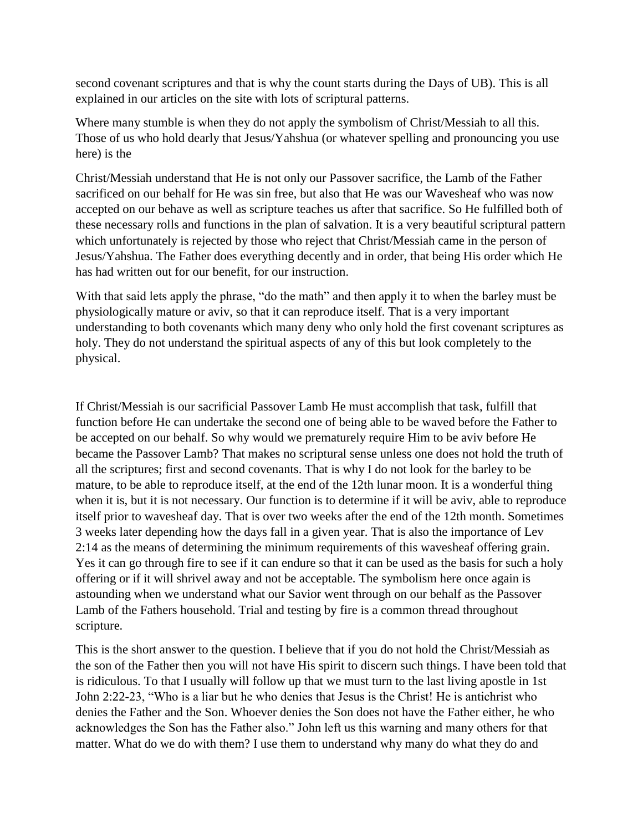second covenant scriptures and that is why the count starts during the Days of UB). This is all explained in our articles on the site with lots of scriptural patterns.

Where many stumble is when they do not apply the symbolism of Christ/Messiah to all this. Those of us who hold dearly that Jesus/Yahshua (or whatever spelling and pronouncing you use here) is the

Christ/Messiah understand that He is not only our Passover sacrifice, the Lamb of the Father sacrificed on our behalf for He was sin free, but also that He was our Wavesheaf who was now accepted on our behave as well as scripture teaches us after that sacrifice. So He fulfilled both of these necessary rolls and functions in the plan of salvation. It is a very beautiful scriptural pattern which unfortunately is rejected by those who reject that Christ/Messiah came in the person of Jesus/Yahshua. The Father does everything decently and in order, that being His order which He has had written out for our benefit, for our instruction.

With that said lets apply the phrase, "do the math" and then apply it to when the barley must be physiologically mature or aviv, so that it can reproduce itself. That is a very important understanding to both covenants which many deny who only hold the first covenant scriptures as holy. They do not understand the spiritual aspects of any of this but look completely to the physical.

If Christ/Messiah is our sacrificial Passover Lamb He must accomplish that task, fulfill that function before He can undertake the second one of being able to be waved before the Father to be accepted on our behalf. So why would we prematurely require Him to be aviv before He became the Passover Lamb? That makes no scriptural sense unless one does not hold the truth of all the scriptures; first and second covenants. That is why I do not look for the barley to be mature, to be able to reproduce itself, at the end of the 12th lunar moon. It is a wonderful thing when it is, but it is not necessary. Our function is to determine if it will be aviv, able to reproduce itself prior to wavesheaf day. That is over two weeks after the end of the 12th month. Sometimes 3 weeks later depending how the days fall in a given year. That is also the importance of Lev 2:14 as the means of determining the minimum requirements of this wavesheaf offering grain. Yes it can go through fire to see if it can endure so that it can be used as the basis for such a holy offering or if it will shrivel away and not be acceptable. The symbolism here once again is astounding when we understand what our Savior went through on our behalf as the Passover Lamb of the Fathers household. Trial and testing by fire is a common thread throughout scripture.

This is the short answer to the question. I believe that if you do not hold the Christ/Messiah as the son of the Father then you will not have His spirit to discern such things. I have been told that is ridiculous. To that I usually will follow up that we must turn to the last living apostle in 1st John 2:22-23, "Who is a liar but he who denies that Jesus is the Christ! He is antichrist who denies the Father and the Son. Whoever denies the Son does not have the Father either, he who acknowledges the Son has the Father also." John left us this warning and many others for that matter. What do we do with them? I use them to understand why many do what they do and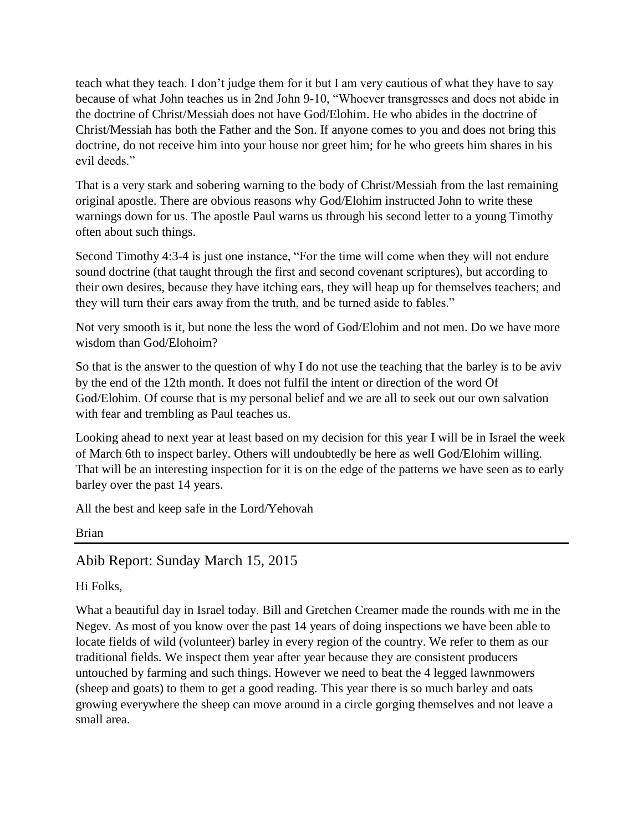teach what they teach. I don't judge them for it but I am very cautious of what they have to say because of what John teaches us in 2nd John 9-10, "Whoever transgresses and does not abide in the doctrine of Christ/Messiah does not have God/Elohim. He who abides in the doctrine of Christ/Messiah has both the Father and the Son. If anyone comes to you and does not bring this doctrine, do not receive him into your house nor greet him; for he who greets him shares in his evil deeds."

That is a very stark and sobering warning to the body of Christ/Messiah from the last remaining original apostle. There are obvious reasons why God/Elohim instructed John to write these warnings down for us. The apostle Paul warns us through his second letter to a young Timothy often about such things.

Second Timothy 4:3-4 is just one instance, "For the time will come when they will not endure sound doctrine (that taught through the first and second covenant scriptures), but according to their own desires, because they have itching ears, they will heap up for themselves teachers; and they will turn their ears away from the truth, and be turned aside to fables."

Not very smooth is it, but none the less the word of God/Elohim and not men. Do we have more wisdom than God/Elohoim?

So that is the answer to the question of why I do not use the teaching that the barley is to be aviv by the end of the 12th month. It does not fulfil the intent or direction of the word Of God/Elohim. Of course that is my personal belief and we are all to seek out our own salvation with fear and trembling as Paul teaches us.

Looking ahead to next year at least based on my decision for this year I will be in Israel the week of March 6th to inspect barley. Others will undoubtedly be here as well God/Elohim willing. That will be an interesting inspection for it is on the edge of the patterns we have seen as to early barley over the past 14 years.

All the best and keep safe in the Lord/Yehovah

Brian

Abib Report: Sunday March 15, 2015

Hi Folks,

What a beautiful day in Israel today. Bill and Gretchen Creamer made the rounds with me in the Negev. As most of you know over the past 14 years of doing inspections we have been able to locate fields of wild (volunteer) barley in every region of the country. We refer to them as our traditional fields. We inspect them year after year because they are consistent producers untouched by farming and such things. However we need to beat the 4 legged lawnmowers (sheep and goats) to them to get a good reading. This year there is so much barley and oats growing everywhere the sheep can move around in a circle gorging themselves and not leave a small area.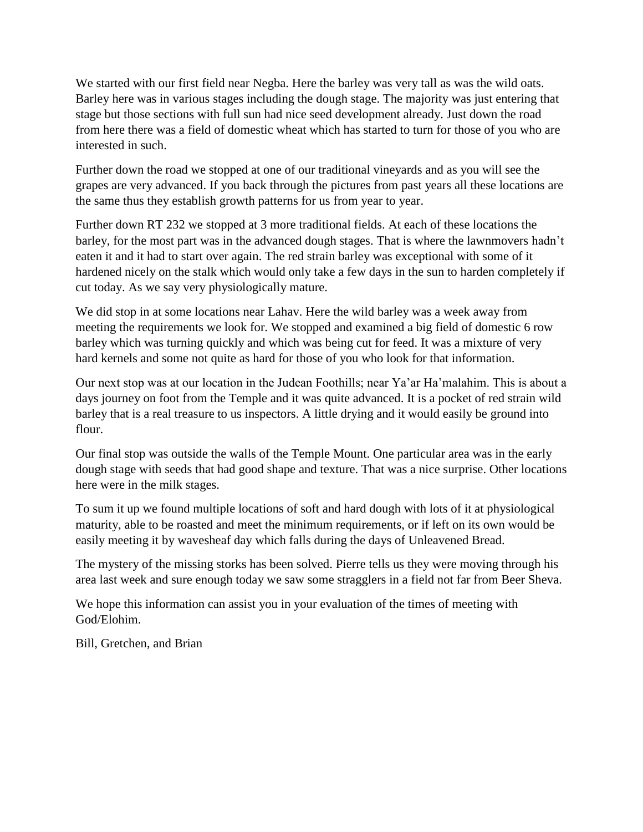We started with our first field near Negba. Here the barley was very tall as was the wild oats. Barley here was in various stages including the dough stage. The majority was just entering that stage but those sections with full sun had nice seed development already. Just down the road from here there was a field of domestic wheat which has started to turn for those of you who are interested in such.

Further down the road we stopped at one of our traditional vineyards and as you will see the grapes are very advanced. If you back through the pictures from past years all these locations are the same thus they establish growth patterns for us from year to year.

Further down RT 232 we stopped at 3 more traditional fields. At each of these locations the barley, for the most part was in the advanced dough stages. That is where the lawnmovers hadn't eaten it and it had to start over again. The red strain barley was exceptional with some of it hardened nicely on the stalk which would only take a few days in the sun to harden completely if cut today. As we say very physiologically mature.

We did stop in at some locations near Lahav. Here the wild barley was a week away from meeting the requirements we look for. We stopped and examined a big field of domestic 6 row barley which was turning quickly and which was being cut for feed. It was a mixture of very hard kernels and some not quite as hard for those of you who look for that information.

Our next stop was at our location in the Judean Foothills; near Ya'ar Ha'malahim. This is about a days journey on foot from the Temple and it was quite advanced. It is a pocket of red strain wild barley that is a real treasure to us inspectors. A little drying and it would easily be ground into flour.

Our final stop was outside the walls of the Temple Mount. One particular area was in the early dough stage with seeds that had good shape and texture. That was a nice surprise. Other locations here were in the milk stages.

To sum it up we found multiple locations of soft and hard dough with lots of it at physiological maturity, able to be roasted and meet the minimum requirements, or if left on its own would be easily meeting it by wavesheaf day which falls during the days of Unleavened Bread.

The mystery of the missing storks has been solved. Pierre tells us they were moving through his area last week and sure enough today we saw some stragglers in a field not far from Beer Sheva.

We hope this information can assist you in your evaluation of the times of meeting with God/Elohim.

Bill, Gretchen, and Brian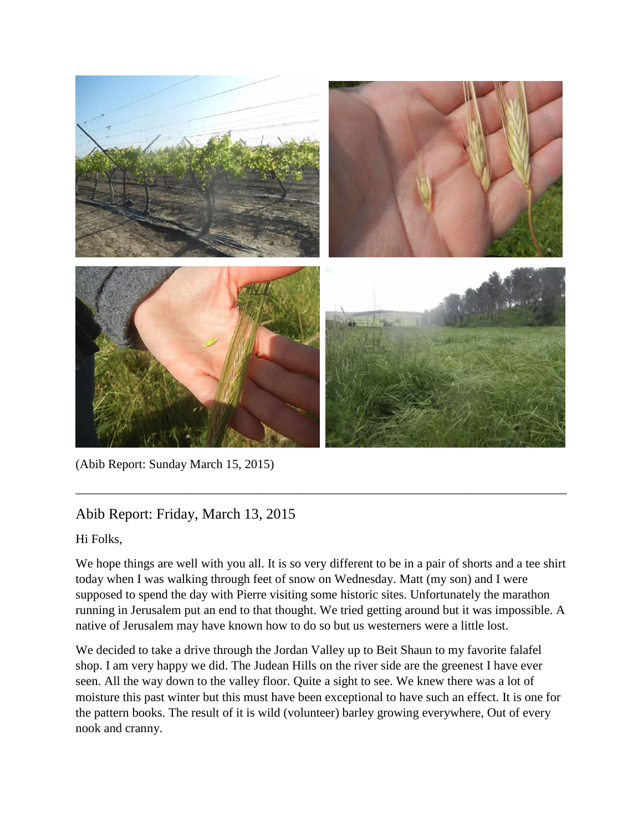

(Abib Report: Sunday March 15, 2015)

## Abib Report: Friday, March 13, 2015

Hi Folks,

We hope things are well with you all. It is so very different to be in a pair of shorts and a tee shirt today when I was walking through feet of snow on Wednesday. Matt (my son) and I were supposed to spend the day with Pierre visiting some historic sites. Unfortunately the marathon running in Jerusalem put an end to that thought. We tried getting around but it was impossible. A native of Jerusalem may have known how to do so but us westerners were a little lost.

\_\_\_\_\_\_\_\_\_\_\_\_\_\_\_\_\_\_\_\_\_\_\_\_\_\_\_\_\_\_\_\_\_\_\_\_\_\_\_\_\_\_\_\_\_\_\_\_\_\_\_\_\_\_\_\_\_\_\_\_\_\_\_\_\_\_\_\_\_\_\_\_\_\_\_\_\_\_

We decided to take a drive through the Jordan Valley up to Beit Shaun to my favorite falafel shop. I am very happy we did. The Judean Hills on the river side are the greenest I have ever seen. All the way down to the valley floor. Quite a sight to see. We knew there was a lot of moisture this past winter but this must have been exceptional to have such an effect. It is one for the pattern books. The result of it is wild (volunteer) barley growing everywhere, Out of every nook and cranny.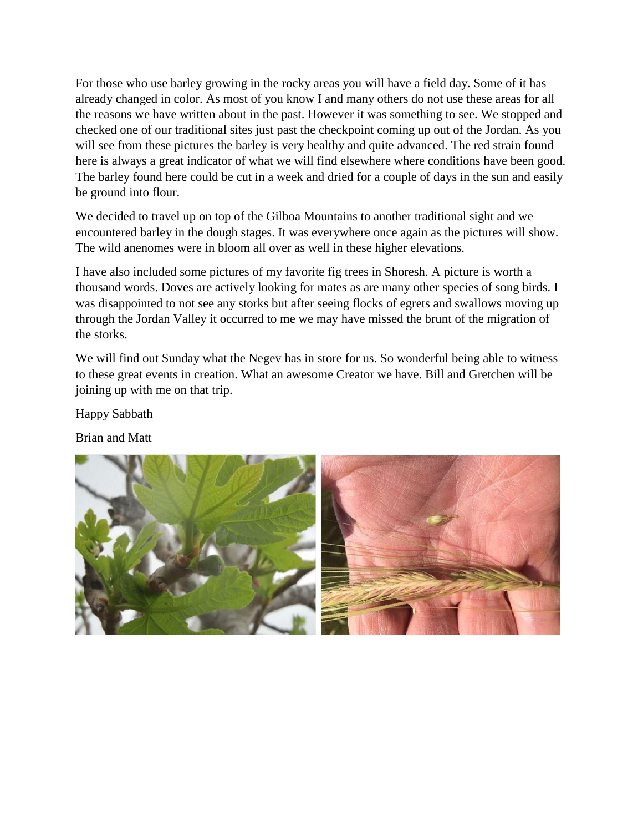For those who use barley growing in the rocky areas you will have a field day. Some of it has already changed in color. As most of you know I and many others do not use these areas for all the reasons we have written about in the past. However it was something to see. We stopped and checked one of our traditional sites just past the checkpoint coming up out of the Jordan. As you will see from these pictures the barley is very healthy and quite advanced. The red strain found here is always a great indicator of what we will find elsewhere where conditions have been good. The barley found here could be cut in a week and dried for a couple of days in the sun and easily be ground into flour.

We decided to travel up on top of the Gilboa Mountains to another traditional sight and we encountered barley in the dough stages. It was everywhere once again as the pictures will show. The wild anenomes were in bloom all over as well in these higher elevations.

I have also included some pictures of my favorite fig trees in Shoresh. A picture is worth a thousand words. Doves are actively looking for mates as are many other species of song birds. I was disappointed to not see any storks but after seeing flocks of egrets and swallows moving up through the Jordan Valley it occurred to me we may have missed the brunt of the migration of the storks.

We will find out Sunday what the Negev has in store for us. So wonderful being able to witness to these great events in creation. What an awesome Creator we have. Bill and Gretchen will be joining up with me on that trip.

Happy Sabbath

Brian and Matt

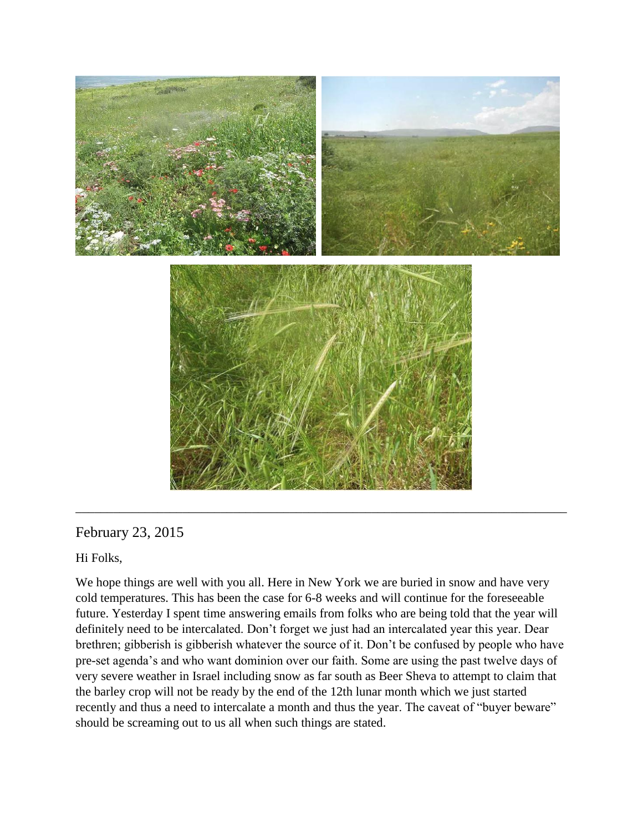

### February 23, 2015

Hi Folks,

We hope things are well with you all. Here in New York we are buried in snow and have very cold temperatures. This has been the case for 6-8 weeks and will continue for the foreseeable future. Yesterday I spent time answering emails from folks who are being told that the year will definitely need to be intercalated. Don't forget we just had an intercalated year this year. Dear brethren; gibberish is gibberish whatever the source of it. Don't be confused by people who have pre-set agenda's and who want dominion over our faith. Some are using the past twelve days of very severe weather in Israel including snow as far south as Beer Sheva to attempt to claim that the barley crop will not be ready by the end of the 12th lunar month which we just started recently and thus a need to intercalate a month and thus the year. The caveat of "buyer beware" should be screaming out to us all when such things are stated.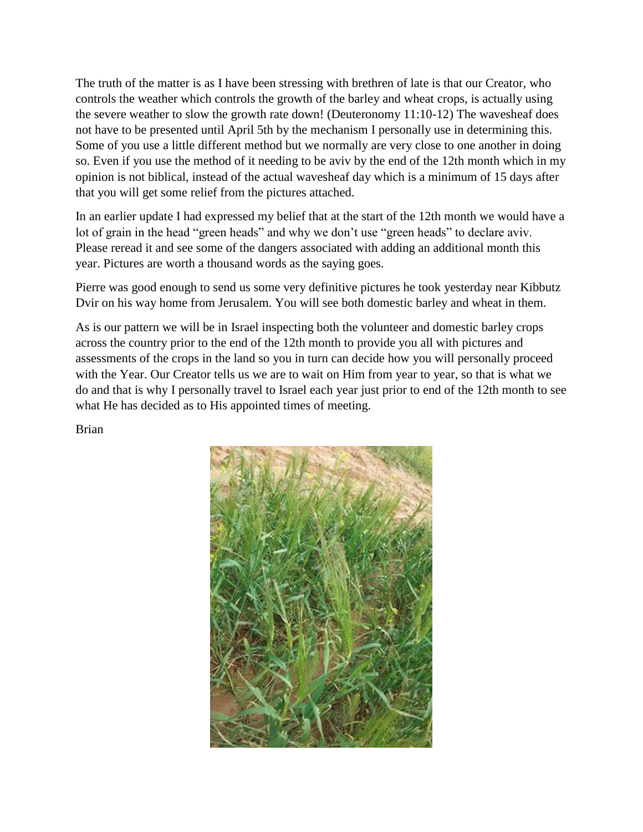The truth of the matter is as I have been stressing with brethren of late is that our Creator, who controls the weather which controls the growth of the barley and wheat crops, is actually using the severe weather to slow the growth rate down! (Deuteronomy 11:10-12) The wavesheaf does not have to be presented until April 5th by the mechanism I personally use in determining this. Some of you use a little different method but we normally are very close to one another in doing so. Even if you use the method of it needing to be aviv by the end of the 12th month which in my opinion is not biblical, instead of the actual wavesheaf day which is a minimum of 15 days after that you will get some relief from the pictures attached.

In an earlier update I had expressed my belief that at the start of the 12th month we would have a lot of grain in the head "green heads" and why we don't use "green heads" to declare aviv. Please reread it and see some of the dangers associated with adding an additional month this year. Pictures are worth a thousand words as the saying goes.

Pierre was good enough to send us some very definitive pictures he took yesterday near Kibbutz Dvir on his way home from Jerusalem. You will see both domestic barley and wheat in them.

As is our pattern we will be in Israel inspecting both the volunteer and domestic barley crops across the country prior to the end of the 12th month to provide you all with pictures and assessments of the crops in the land so you in turn can decide how you will personally proceed with the Year. Our Creator tells us we are to wait on Him from year to year, so that is what we do and that is why I personally travel to Israel each year just prior to end of the 12th month to see what He has decided as to His appointed times of meeting.

Brian

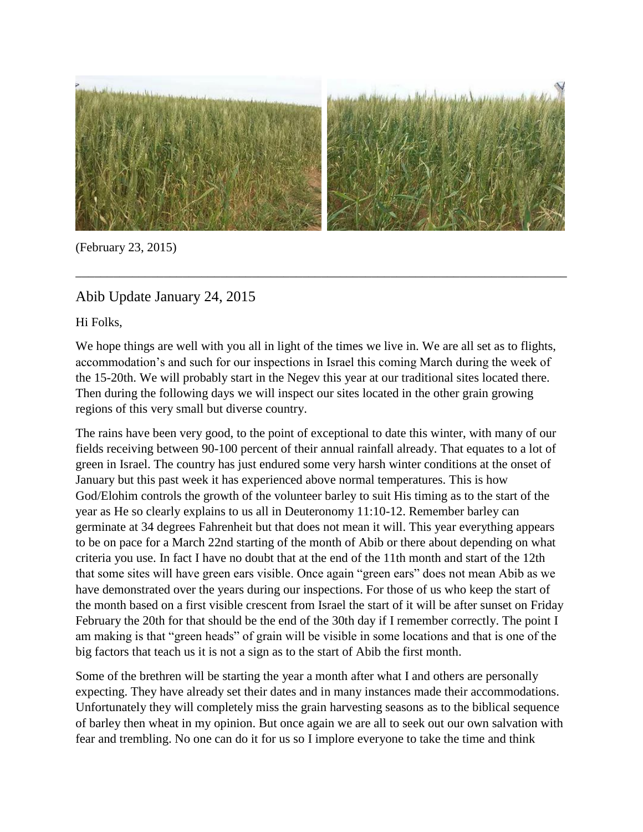

\_\_\_\_\_\_\_\_\_\_\_\_\_\_\_\_\_\_\_\_\_\_\_\_\_\_\_\_\_\_\_\_\_\_\_\_\_\_\_\_\_\_\_\_\_\_\_\_\_\_\_\_\_\_\_\_\_\_\_\_\_\_\_\_\_\_\_\_\_\_\_\_\_\_\_\_\_\_

(February 23, 2015)

## Abib Update January 24, 2015

Hi Folks,

We hope things are well with you all in light of the times we live in. We are all set as to flights, accommodation's and such for our inspections in Israel this coming March during the week of the 15-20th. We will probably start in the Negev this year at our traditional sites located there. Then during the following days we will inspect our sites located in the other grain growing regions of this very small but diverse country.

The rains have been very good, to the point of exceptional to date this winter, with many of our fields receiving between 90-100 percent of their annual rainfall already. That equates to a lot of green in Israel. The country has just endured some very harsh winter conditions at the onset of January but this past week it has experienced above normal temperatures. This is how God/Elohim controls the growth of the volunteer barley to suit His timing as to the start of the year as He so clearly explains to us all in Deuteronomy 11:10-12. Remember barley can germinate at 34 degrees Fahrenheit but that does not mean it will. This year everything appears to be on pace for a March 22nd starting of the month of Abib or there about depending on what criteria you use. In fact I have no doubt that at the end of the 11th month and start of the 12th that some sites will have green ears visible. Once again "green ears" does not mean Abib as we have demonstrated over the years during our inspections. For those of us who keep the start of the month based on a first visible crescent from Israel the start of it will be after sunset on Friday February the 20th for that should be the end of the 30th day if I remember correctly. The point I am making is that "green heads" of grain will be visible in some locations and that is one of the big factors that teach us it is not a sign as to the start of Abib the first month.

Some of the brethren will be starting the year a month after what I and others are personally expecting. They have already set their dates and in many instances made their accommodations. Unfortunately they will completely miss the grain harvesting seasons as to the biblical sequence of barley then wheat in my opinion. But once again we are all to seek out our own salvation with fear and trembling. No one can do it for us so I implore everyone to take the time and think